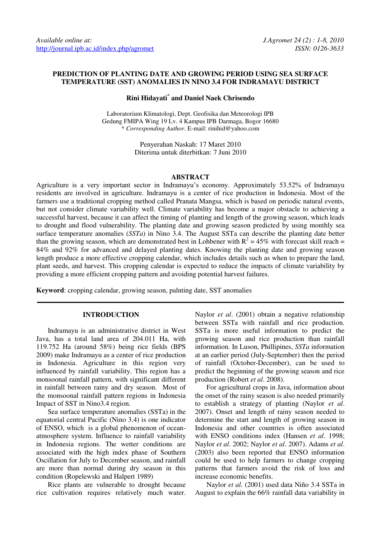## **PREDICTION OF PLANTING DATE AND GROWING PERIOD USING SEA SURFACE TEMPERATURE (SST) ANOMALIES IN NINO 3.4 FOR INDRAMAYU DISTRICT**

# **Rini Hidayati\* and Daniel Naek Chrisendo**

Laboratorium Klimatologi, Dept. Geofisika dan Meteorologi IPB Gedung FMIPA Wing 19 Lv. 4 Kampus IPB Darmaga, Bogor 16680 \* *Corresponding Author*. E-mail: rinihid@yahoo.com

> Penyerahan Naskah: 17 Maret 2010 Diterima untuk diterbitkan: 7 Juni 2010

### **ABSTRACT**

Agriculture is a very important sector in Indramayu's economy. Approximately 53.52% of Indramayu residents are involved in agriculture. Indramayu is a center of rice production in Indonesia. Most of the farmers use a traditional cropping method called Pranata Mangsa, which is based on periodic natural events, but not consider climate variability well. Climate variability has become a major obstacle to achieving a successful harvest, because it can affect the timing of planting and length of the growing season, which leads to drought and flood vulnerability. The planting date and growing season predicted by using monthly sea surface temperature anomalies (*SSTa*) in Nino 3.4. The August SSTa can describe the planting date better than the growing season, which are demonstrated best in Lohbener with  $R^2 = 45\%$  with forecast skill reach = 84% and 92% for advanced and delayed planting dates. Knowing the planting date and growing season length produce a more effective cropping calendar, which includes details such as when to prepare the land, plant seeds, and harvest. This cropping calendar is expected to reduce the impacts of climate variability by providing a more efficient cropping pattern and avoiding potential harvest failures.

**Keyword**: cropping calendar, growing season, palnting date, SST anomalies

## **INTRODUCTION**

Indramayu is an administrative district in West Java, has a total land area of 204.011 Ha, with 119.752 Ha (around 58%) being rice fields (BPS 2009) make Indramayu as a center of rice production in Indonesia. Agriculture in this region very influenced by rainfall variability. This region has a monsoonal rainfall pattern, with significant different in rainfall between rainy and dry season. Most of the monsoonal rainfall pattern regions in Indonesia Impact of SST in Nino3.4 region.

Sea surface temperature anomalies (SSTa) in the equatorial central Pacific (Nino 3.4) is one indicator of ENSO, which is a global phenomenon of oceanatmosphere system. Influence to rainfall variability in Indonesia regions. The wetter conditions are associated with the high index phase of Southern Oscillation for July to December season, and rainfall are more than normal during dry season in this condition (Ropelewski and Halpert 1989)

Rice plants are vulnerable to drought because rice cultivation requires relatively much water. Naylor *et al*. (2001) obtain a negative relationship between SSTa with rainfall and rice production. SSTa is more useful information to predict the growing season and rice production than rainfall information. In Luson, Phillipines, *SSTa* information at an earlier period (July-September) then the period of rainfall (October-December), can be used to predict the beginning of the growing season and rice production (Robert *et al*. 2008).

For agricultural crops in Java, information about the onset of the rainy season is also needed primarily to establish a strategy of planting (Naylor *et al*. 2007). Onset and length of rainy season needed to determine the start and length of growing season in Indonesia and other countries is often associated with ENSO conditions index (Hansen *et al*. 1998; Naylor *et al*. 2002; Naylor *et al*. 2007). Adams *et al*. (2003) also been reported that ENSO information could be used to help farmers to change cropping patterns that farmers avoid the risk of loss and increase economic benefits.

Naylor *et al.* (2001) used data Niño 3.4 SSTa in August to explain the 66% rainfall data variability in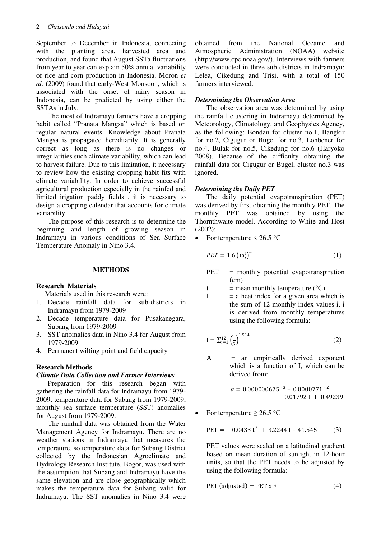September to December in Indonesia, connecting with the planting area, harvested area and production, and found that August SSTa fluctuations from year to year can explain 50% annual variability of rice and corn production in Indonesia. Moron *et al.* (2009) found that early-West Monsoon, which is associated with the onset of rainy season in Indonesia, can be predicted by using either the SSTAs in July.

The most of Indramayu farmers have a cropping habit called "Pranata Mangsa" which is based on regular natural events. Knowledge about Pranata Mangsa is propagated hereditarily. It is generally correct as long as there is no changes or irregularities such climate variability, which can lead to harvest failure. Due to this limitation, it necessary to review how the existing cropping habit fits with climate variability. In order to achieve successful agricultural production especially in the rainfed and limited irigation paddy fields , it is necessary to design a cropping calendar that accounts for climate variability.

The purpose of this research is to determine the beginning and length of growing season in Indramayu in various conditions of Sea Surface Temperature Anomaly in Nino 3.4.

## **METHODS**

## **Research Materials**

Materials used in this research were:

- 1. Decade rainfall data for sub-districts in Indramayu from 1979-2009
- 2. Decade temperature data for Pusakanegara, Subang from 1979-2009
- 3. SST anomalies data in Nino 3.4 for August from 1979-2009
- 4. Permanent wilting point and field capacity

## **Research Methods**

### *Climate Data Collection and Farmer Interviews*

Preparation for this research began with gathering the rainfall data for Indramayu from 1979- 2009, temperature data for Subang from 1979-2009, monthly sea surface temperature (SST) anomalies for August from 1979-2009.

The rainfall data was obtained from the Water Management Agency for Indramayu. There are no weather stations in Indramayu that measures the temperature, so temperature data for Subang District collected by the Indonesian Agroclimate and Hydrology Research Institute, Bogor, was used with the assumption that Subang and Indramayu have the same elevation and are close geographically which makes the temperature data for Subang valid for Indramayu. The SST anomalies in Nino 3.4 were

obtained from the National Oceanic and Atmospheric Administration (NOAA) website (http://www.cpc.noaa.gov/). Interviews with farmers were conducted in three sub districts in Indramayu; Lelea, Cikedung and Trisi, with a total of 150 farmers interviewed.

### *Determining the Observation Area*

The observation area was determined by using the rainfall clustering in Indramayu determined by Meteorology, Climatology, and Geophysics Agency, as the following: Bondan for cluster no.1, Bangkir for no.2, Cigugur or Bugel for no.3, Lohbener for no.4, Bulak for no.5, Cikedung for no.6 (Haryoko 2008). Because of the difficulty obtaining the rainfall data for Cigugur or Bugel, cluster no.3 was ignored.

### *Determining the Daily PET*

The daily potential evapotranspiration (PET) was derived by first obtaining the monthly PET. The monthly PET was obtained by using the Thornthwaite model. According to White and Host (2002):

• For temperature  $\leq 26.5$  °C

$$
PET = 1.6 \left(10 \frac{t}{l}\right)^a \tag{1}
$$

PET = monthly potential evapotranspiration  $(cm)$ 

t = mean monthly temperature  $(^{\circ}C)$ 

 $I = a heat index for a given area which is$ the sum of 12 monthly index values i, i is derived from monthly temperatures using the following formula:

$$
I = \sum_{i=1}^{12} \left(\frac{t}{5}\right)^{1.514} \tag{2}
$$

 $A =$  an empirically derived exponent which is a function of I, which can be derived from:

$$
a = 0.000000675 \, 1^3 - 0.0000771 \, 1^2
$$
  
+ 0.01792 I + 0.49239

For temperature  $\geq 26.5$  °C

$$
PET = -0.0433 t2 + 3.2244 t - 41.545
$$
 (3)

PET values were scaled on a latitudinal gradient based on mean duration of sunlight in 12-hour units, so that the PET needs to be adjusted by using the following formula:

$$
PET (adjusted) = PET x F
$$
 (4)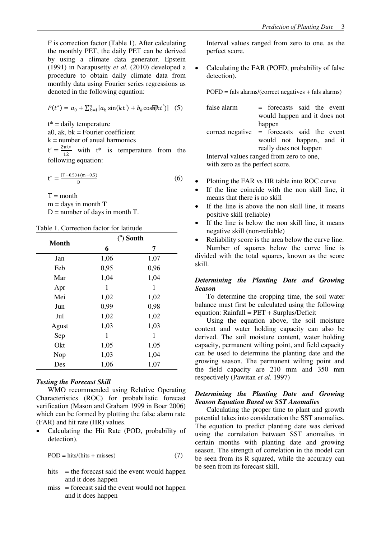F is correction factor (Table 1). After calculating the monthly PET, the daily PET can be derived by using a climate data generator. Epstein (1991) in Narapusetty *et al.* (2010) developed a procedure to obtain daily climate data from monthly data using Fourier series regressions as denoted in the following equation:

$$
P(t^*) = a_0 + \sum_{k=1}^n [a_k \sin(kt') + b_k \cos[kkt')] \quad (5)
$$

 $t^*$  = daily temperature a0, ak,  $bk = Fourier coefficient$ 

 $k =$  number of anual harmonics

 $t' = \frac{2\pi t}{12}$  $\frac{n\epsilon^*}{12}$  with  $\epsilon^*$  is temperature from the

following equation:

$$
t^* = \frac{(T - 0.5) + (m - 0.5)}{D}
$$
 (6)

 $T =$  month

 $m =$  days in month  $T$ 

 $D =$  number of days in month T.

|  | Table 1. Correction factor for latitude |  |  |
|--|-----------------------------------------|--|--|
|--|-----------------------------------------|--|--|

| <b>Month</b> |      | $(°)$ South |
|--------------|------|-------------|
|              | 6    | 7           |
| Jan          | 1,06 | 1,07        |
| Feb          | 0,95 | 0,96        |
| Mar          | 1,04 | 1,04        |
| Apr          | 1    | 1           |
| Mei          | 1,02 | 1,02        |
| Jun          | 0,99 | 0,98        |
| Jul          | 1,02 | 1,02        |
| Agust        | 1,03 | 1,03        |
| Sep          | 1    | 1           |
| Okt          | 1,05 | 1,05        |
| Nop          | 1,03 | 1,04        |
| Des          | 1,06 | 1,07        |

# *Testing the Forecast Skill*

WMO recommended using Relative Operating Characteristics (ROC) for probabilistic forecast verification (Mason and Graham 1999 in Boer 2006) which can be formed by plotting the false alarm rate (FAR) and hit rate (HR) values.

 Calculating the Hit Rate (POD, probability of detection).

$$
POD = hits/(hits + misses)
$$
 (7)

- hits  $=$  the forecast said the event would happen and it does happen
- miss = forecast said the event would not happen and it does happen

Interval values ranged from zero to one, as the perfect score.

 Calculating the FAR (POFD, probability of false detection).

POFD = fals alarms/(correct negatives + fals alarms)

false alarm  $=$  forecasts said the event would happen and it does not happen correct negative = forecasts said the event

would not happen, and it really does not happen Interval values ranged from zero to one,

with zero as the perfect score.

- Plotting the FAR vs HR table into ROC curve
- If the line coincide with the non skill line, it means that there is no skill
- If the line is above the non skill line, it means positive skill (reliable)
- If the line is below the non skill line, it means negative skill (non-reliable)
- Reliability score is the area below the curve line.

Number of squares below the curve line is divided with the total squares, known as the score skill.

# *Determining the Planting Date and Growing Season*

To determine the cropping time, the soil water balance must first be calculated using the following equation: Rainfall = PET + Surplus/Deficit

Using the equation above, the soil moisture content and water holding capacity can also be derived. The soil moisture content, water holding capacity, permanent wilting point, and field capacity can be used to determine the planting date and the growing season. The permanent wilting point and the field capacity are 210 mm and 350 mm respectively (Pawitan *et al.* 1997)

## *Determining the Planting Date and Growing Season Equation Based on SST Anomalies*

Calculating the proper time to plant and growth potential takes into consideration the SST anomalies. The equation to predict planting date was derived using the correlation between SST anomalies in certain months with planting date and growing season. The strength of correlation in the model can be seen from its R squared, while the accuracy can be seen from its forecast skill.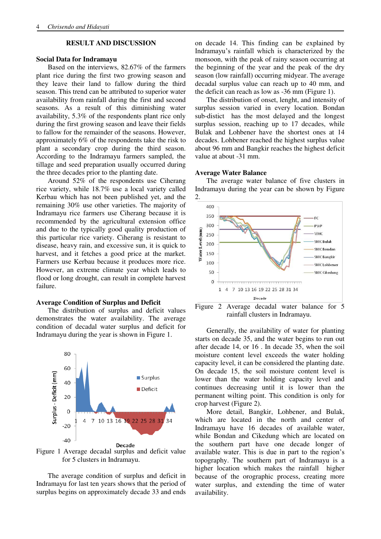## **RESULT AND DISCUSSION**

### **Social Data for Indramayu**

Based on the interviews, 82.67% of the farmers plant rice during the first two growing season and they leave their land to fallow during the third season. This trend can be attributed to superior water availability from rainfall during the first and second seasons. As a result of this diminishing water availability, 5.3% of the respondents plant rice only during the first growing season and leave their fields to fallow for the remainder of the seasons. However, approximately 6% of the respondents take the risk to plant a secondary crop during the third season. According to the Indramayu farmers sampled, the tillage and seed preparation usually occurred during the three decades prior to the planting date.

Around 52% of the respondents use Ciherang rice variety, while 18.7% use a local variety called Kerbau which has not been published yet, and the remaining 30% use other varieties. The majority of Indramayu rice farmers use Ciherang because it is recommended by the agricultural extension office and due to the typically good quality production of this particular rice variety. Ciherang is resistant to disease, heavy rain, and excessive sun, it is quick to harvest, and it fetches a good price at the market. Farmers use Kerbau because it produces more rice. However, an extreme climate year which leads to flood or long drought, can result in complete harvest failure.

### **Average Condition of Surplus and Deficit**

The distribution of surplus and deficit values demonstrates the water availability. The average condition of decadal water surplus and deficit for Indramayu during the year is shown in Figure 1.



Figure 1 Average decadal surplus and deficit value for 5 clusters in Indramayu.

The average condition of surplus and deficit in Indramayu for last ten years shows that the period of surplus begins on approximately decade 33 and ends

on decade 14. This finding can be explained by Indramayu's rainfall which is characterized by the monsoon, with the peak of rainy season occurring at the beginning of the year and the peak of the dry season (low rainfall) occurring midyear. The average decadal surplus value can reach up to 40 mm, and the deficit can reach as low as -36 mm (Figure 1).

The distribution of onset, lenght, and intensity of surplus session varied in every location. Bondan sub-distict has the most delayed and the longest surplus session, reaching up to 17 decades, while Bulak and Lohbener have the shortest ones at 14 decades. Lohbener reached the highest surplus value about 96 mm and Bangkir reaches the highest deficit value at about -31 mm.

#### **Average Water Balance**

The average water balance of five clusters in Indramayu during the year can be shown by Figure 2.



Figure 2 Average decadal water balance for 5 rainfall clusters in Indramayu.

Generally, the availability of water for planting starts on decade 35, and the water begins to run out after decade 14, or 16 . In decade 35, when the soil moisture content level exceeds the water holding capacity level, it can be considered the planting date. On decade 15, the soil moisture content level is lower than the water holding capacity level and continues decreasing until it is lower than the permanent wilting point. This condition is only for crop harvest (Figure 2).

More detail, Bangkir, Lohbener, and Bulak, which are located in the north and center of Indramayu have 16 decades of available water, while Bondan and Cikedung which are located on the southern part have one decade longer of available water. This is due in part to the region's topography. The southern part of Indramayu is a higher location which makes the rainfall higher because of the orographic process, creating more water surplus, and extending the time of water availability.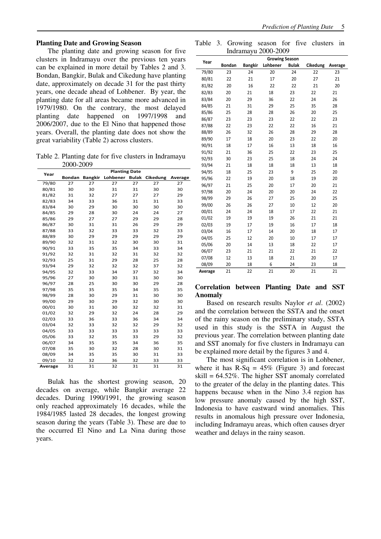The planting date and growing season for five clusters in Indramayu over the previous ten years can be explained in more detail by Tables 2 and 3. Bondan, Bangkir, Bulak and Cikedung have planting date, approximately on decade 31 for the past thirty years, one decade ahead of Lohbener. By year, the planting date for all areas became more advanced in 1979/1980. On the contrary, the most delayed planting date happened on 1997/1998 and 2006/2007, due to the El Nino that happened those years. Overall, the planting date does not show the great variability (Table 2) across clusters.

Table 2. Planting date for five clusters in Indramayu 2000-2009

| Year    | <b>Planting Date</b> |                |          |              |          |         |
|---------|----------------------|----------------|----------|--------------|----------|---------|
|         | <b>Bondan</b>        | <b>Bangkir</b> | Lohbener | <b>Bulak</b> | Cikedung | Average |
| 79/80   | 27                   | 27             | 27       | 27           | 27       | 27      |
| 80/81   | 30                   | 30             | 31       | 31           | 30       | 30      |
| 81/82   | 31                   | 32             | 27       | 27           | 27       | 29      |
| 82/83   | 34                   | 33             | 36       | 31           | 31       | 33      |
| 83/84   | 30                   | 29             | 30       | 30           | 30       | 30      |
| 84/85   | 29                   | 28             | 30       | 24           | 24       | 27      |
| 85/86   | 29                   | 27             | 27       | 29           | 29       | 28      |
| 86/87   | 30                   | 31             | 31       | 26           | 29       | 29      |
| 87/88   | 33                   | 32             | 33       | 33           | 32       | 33      |
| 88/89   | 30                   | 29             | 29       | 29           | 29       | 29      |
| 89/90   | 32                   | 31             | 32       | 30           | 30       | 31      |
| 90/91   | 33                   | 35             | 35       | 34           | 33       | 34      |
| 91/92   | 32                   | 31             | 32       | 31           | 32       | 32      |
| 92/93   | 25                   | 31             | 29       | 28           | 25       | 28      |
| 93/94   | 29                   | 32             | 32       | 32           | 37       | 32      |
| 94/95   | 32                   | 33             | 34       | 37           | 32       | 34      |
| 95/96   | 27                   | 30             | 30       | 31           | 30       | 30      |
| 96/97   | 28                   | 25             | 30       | 30           | 29       | 28      |
| 97/98   | 35                   | 35             | 35       | 34           | 35       | 35      |
| 98/99   | 28                   | 30             | 29       | 31           | 30       | 30      |
| 99/00   | 29                   | 30             | 29       | 32           | 30       | 30      |
| 00/01   | 30                   | 31             | 30       | 32           | 32       | 31      |
| 01/02   | 32                   | 29             | 32       | 24           | 28       | 29      |
| 02/03   | 33                   | 36             | 33       | 36           | 34       | 34      |
| 03/04   | 32                   | 33             | 32       | 32           | 29       | 32      |
| 04/05   | 33                   | 33             | 33       | 33           | 33       | 33      |
| 05/06   | 33                   | 32             | 35       | 33           | 29       | 32      |
| 06/07   | 34                   | 35             | 35       | 34           | 36       | 35      |
| 07/08   | 35                   | 30             | 32       | 28           | 30       | 31      |
| 08/09   | 34                   | 35             | 35       | 30           | 31       | 33      |
| 09/10   | 32                   | 32             | 36       | 32           | 33       | 33      |
| Average | 31                   | 31             | 32       | 31           | 31       | 31      |

Bulak has the shortest growing season, 20 decades on average, while Bangkir average 22 decades. During 1990/1991, the growing season only reached approximately 16 decades, while the 1984/1985 lasted 28 decades, the longest growing season during the years (Table 3). These are due to the occurred El Nino and La Nina during those years.

Table 3. Growing season for five clusters in Indramayu 2000-2009

| Year    | <b>Growing Season</b> |                |          |              |          |         |
|---------|-----------------------|----------------|----------|--------------|----------|---------|
|         | <b>Bondan</b>         | <b>Bangkir</b> | Lohbener | <b>Bulak</b> | Cikedung | Average |
| 79/80   | 23                    | 24             | 20       | 24           | 22       | 23      |
| 80/81   | 22                    | 21             | 17       | 20           | 27       | 21      |
| 81/82   | 20                    | 16             | 22       | 22           | 21       | 20      |
| 82/83   | 20                    | 21             | 18       | 23           | 22       | 21      |
| 83/84   | 20                    | 29             | 36       | 22           | 24       | 26      |
| 84/85   | 21                    | 31             | 29       | 25           | 35       | 28      |
| 85/86   | 25                    | 28             | 28       | 26           | 20       | 25      |
| 86/87   | 23                    | 23             | 23       | 22           | 22       | 23      |
| 87/88   | 22                    | 23             | 22       | 22           | 16       | 21      |
| 88/89   | 26                    | 32             | 26       | 28           | 29       | 28      |
| 89/90   | 17                    | 18             | 20       | 23           | 22       | 20      |
| 90/91   | 18                    | 17             | 16       | 13           | 18       | 16      |
| 91/92   | 21                    | 36             | 25       | 22           | 23       | 25      |
| 92/93   | 30                    | 23             | 25       | 18           | 24       | 24      |
| 93/94   | 21                    | 18             | 18       | 18           | 13       | 18      |
| 94/95   | 18                    | 25             | 23       | 9            | 25       | 20      |
| 95/96   | 22                    | 19             | 20       | 18           | 19       | 20      |
| 96/97   | 21                    | 25             | 20       | 17           | 20       | 21      |
| 97/98   | 20                    | 24             | 20       | 20           | 24       | 22      |
| 98/99   | 29                    | 26             | 27       | 25           | 20       | 25      |
| 99/00   | 26                    | 26             | 27       | 10           | 12       | 20      |
| 00/01   | 24                    | 24             | 18       | 17           | 22       | 21      |
| 01/02   | 19                    | 19             | 19       | 26           | 21       | 21      |
| 02/03   | 19                    | 17             | 19       | 16           | 17       | 18      |
| 03/04   | 16                    | 17             | 14       | 20           | 18       | 17      |
| 04/05   | 25                    | 12             | 20       | 10           | 17       | 17      |
| 05/06   | 20                    | 14             | 13       | 18           | 22       | 17      |
| 06/07   | 23                    | 21             | 21       | 22           | 21       | 22      |
| 07/08   | 12                    | 13             | 18       | 21           | 20       | 17      |
| 08/09   | 20                    | 18             | 6        | 24           | 23       | 18      |
| Average | 21                    | 22             | 21       | 20           | 21       | 21      |

## **Correlation between Planting Date and SST Anomaly**

Based on research results Naylor *et al*. (2002) and the correlation between the SSTA and the onset of the rainy season on the preliminary study, SSTA used in this study is the SSTA in August the previous year. The correlation between planting date and SST anomaly for five clusters in Indramayu can be explained more detail by the figures 3 and 4.

The most significant correlation is in Lohbener, where it has  $R-Sq = 45%$  (Figure 3) and forecast skill = 64.52%. The higher SST anomaly correlated to the greater of the delay in the planting dates. This happens because when in the Nino 3.4 region has low pressure anomaly caused by the high SST, Indonesia to have eastward wind anomalies. This results in anomalous high pressure over Indonesia, including Indramayu areas, which often causes dryer weather and delays in the rainy season.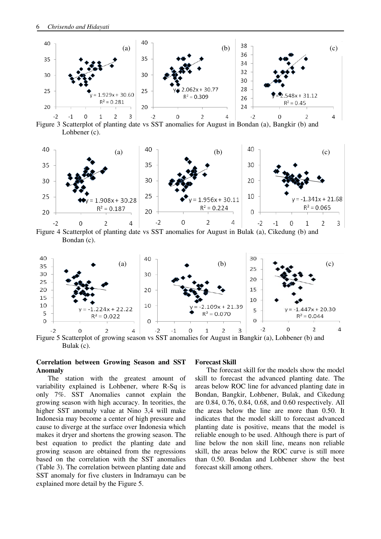

Figure 3 Scatterplot of planting date vs SST anomalies for August in Bondan (a), Bangkir (b) and Lohbener (c).



Figure 4 Scatterplot of planting date vs SST anomalies for August in Bulak (a), Cikedung (b) and Bondan (c).



Figure 5 Scatterplot of growing season vs SST anomalies for August in Bangkir (a), Lohbener (b) and Bulak (c).

## **Correlation between Growing Season and SST Anomaly**

The station with the greatest amount of variability explained is Lohbener, where R-Sq is only 7%. SST Anomalies cannot explain the growing season with high accuracy. In teorities, the higher SST anomaly value at Nino 3,4 will make Indonesia may become a center of high pressure and cause to diverge at the surface over Indonesia which makes it dryer and shortens the growing season. The best equation to predict the planting date and growing season are obtained from the regressions based on the correlation with the SST anomalies (Table 3). The correlation between planting date and SST anomaly for five clusters in Indramayu can be explained more detail by the Figure 5.

### **Forecast Skill**

The forecast skill for the models show the model skill to forecast the advanced planting date. The areas below ROC line for advanced planting date in Bondan, Bangkir, Lohbener, Bulak, and Cikedung are 0.84, 0.76, 0.84, 0.68, and 0.60 respectively. All the areas below the line are more than 0.50. It indicates that the model skill to forecast advanced planting date is positive, means that the model is reliable enough to be used. Although there is part of line below the non skill line, means non reliable skill, the areas below the ROC curve is still more than 0.50. Bondan and Lohbener show the best forecast skill among others.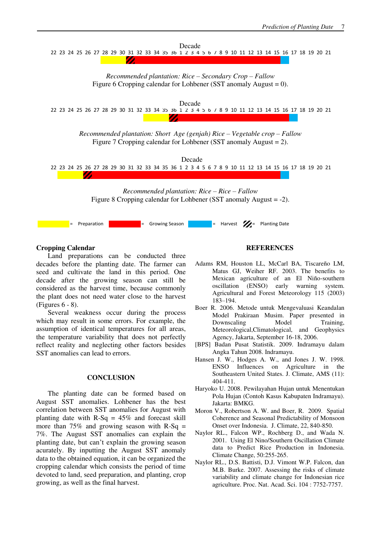

# **Cropping Calendar**

Land preparations can be conducted three decades before the planting date. The farmer can seed and cultivate the land in this period. One decade after the growing season can still be considered as the harvest time, because commonly the plant does not need water close to the harvest (Figures 6 - 8).

Several weakness occur during the process which may result in some errors. For example, the assumption of identical temperatures for all areas, the temperature variability that does not perfectly reflect reality and neglecting other factors besides SST anomalies can lead to errors.

#### **CONCLUSION**

The planting date can be formed based on August SST anomalies. Lohbener has the best correlation between SST anomalies for August with planting date with  $R-Sq = 45%$  and forecast skill more than  $75\%$  and growing season with R-Sq = 7%. The August SST anomalies can explain the planting date, but can't explain the growing season acurately. By inputting the August SST anomaly data to the obtained equation, it can be organized the cropping calendar which consists the period of time devoted to land, seed preparation, and planting, crop growing, as well as the final harvest.

### **REFERENCES**

- Adams RM, Houston LL, McCarl BA, Tiscareño LM, Matus GJ, Weiher RF. 2003. The benefits to Mexican agriculture of an El Niño-southern oscillation (ENSO) early warning system. Agricultural and Forest Meteorology 115 (2003) 183–194.
- Boer R. 2006. Metode untuk Mengevaluasi Keandalan Model Prakiraan Musim. Paper presented in Downscaling Model Training, Meteorological,Climatological, and Geophysics Agency, Jakarta, September 16-18, 2006.
- [BPS] Badan Pusat Statistik. 2009. Indramayu dalam Angka Tahun 2008. Indramayu.
- Hansen J. W., Hodges A. W., and Jones J. W. 1998. ENSO Influences on Agriculture in the Southeastern United States. J. Climate, AMS (11): 404-411.
- Haryoko U. 2008. Pewilayahan Hujan untuk Menentukan Pola Hujan (Contoh Kasus Kabupaten Indramayu). Jakarta: BMKG.
- Moron V., Robertson A. W. and Boer, R. 2009. Spatial Coherence and Seasonal Predictability of Monsoon Onset over Indonesia. J. Climate, 22, 840-850.
- Naylor RL., Falcon WP., Rochberg D., and Wada N. 2001. Using El Nino/Southern Oscillation Climate data to Predict Rice Production in Indonesia. Climate Change, 50:255-265.
- Naylor RL., D.S. Battisti, D.J. Vimont W.P. Falcon, dan M.B. Burke. 2007. Assessing the risks of climate variability and climate change for Indonesian rice agriculture. Proc. Nat. Acad. Sci. 104 : 7752-7757.